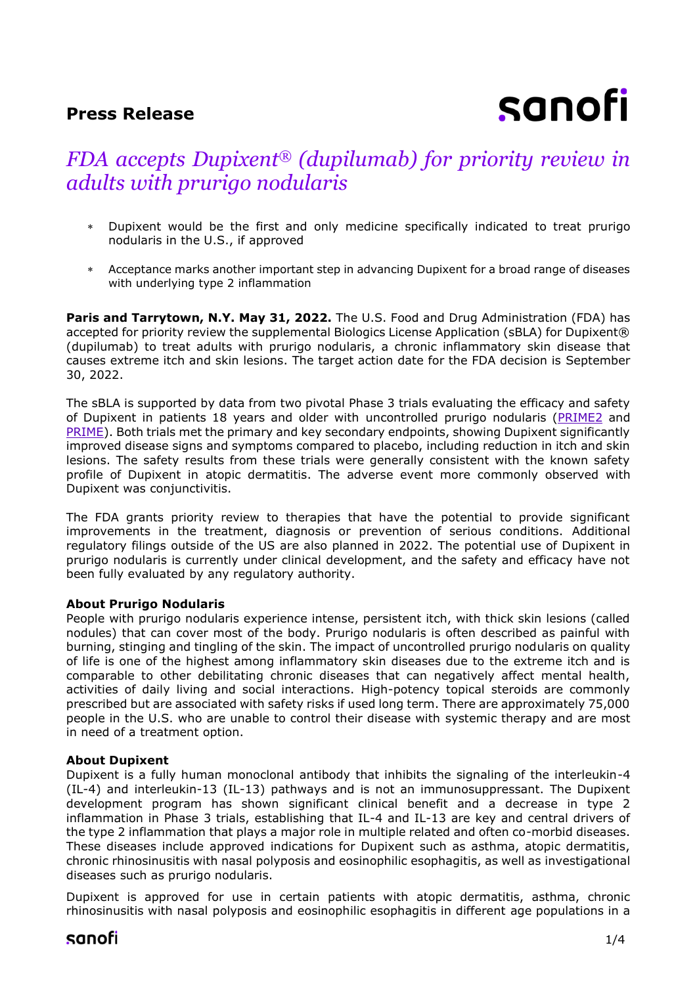# **Press Release**



# *FDA accepts Dupixent® (dupilumab) for priority review in adults with prurigo nodularis*

- Dupixent would be the first and only medicine specifically indicated to treat prurigo nodularis in the U.S., if approved
- Acceptance marks another important step in advancing Dupixent for a broad range of diseases with underlying type 2 inflammation

**Paris and Tarrytown, N.Y. May 31, 2022.** The U.S. Food and Drug Administration (FDA) has accepted for priority review the supplemental Biologics License Application (sBLA) for Dupixent® (dupilumab) to treat adults with prurigo nodularis, a chronic inflammatory skin disease that causes extreme itch and skin lesions. The target action date for the FDA decision is September 30, 2022.

The sBLA is supported by data from two pivotal Phase 3 trials evaluating the efficacy and safety of Dupixent in patients 18 years and older with uncontrolled prurigo nodularis [\(PRIME2](https://www.sanofi.com/en/media-room/press-releases/2022/2022-03-26-15-00-00-2410552) and [PRIME\)](https://www.sanofi.com/en/media-room/press-releases/2022/2022-01-19-07-00-00-2368986). Both trials met the primary and key secondary endpoints, showing Dupixent significantly improved disease signs and symptoms compared to placebo, including reduction in itch and skin lesions. The safety results from these trials were generally consistent with the known safety profile of Dupixent in atopic dermatitis. The adverse event more commonly observed with Dupixent was conjunctivitis.

The FDA grants priority review to therapies that have the potential to provide significant improvements in the treatment, diagnosis or prevention of serious conditions. Additional regulatory filings outside of the US are also planned in 2022. The potential use of Dupixent in prurigo nodularis is currently under clinical development, and the safety and efficacy have not been fully evaluated by any regulatory authority.

# **About Prurigo Nodularis**

People with prurigo nodularis experience intense, persistent itch, with thick skin lesions (called nodules) that can cover most of the body. Prurigo nodularis is often described as painful with burning, stinging and tingling of the skin. The impact of uncontrolled prurigo nodularis on quality of life is one of the highest among inflammatory skin diseases due to the extreme itch and is comparable to other debilitating chronic diseases that can negatively affect mental health, activities of daily living and social interactions. High-potency topical steroids are commonly prescribed but are associated with safety risks if used long term. There are approximately 75,000 people in the U.S. who are unable to control their disease with systemic therapy and are most in need of a treatment option.

# **About Dupixent**

Dupixent is a fully human monoclonal antibody that inhibits the signaling of the interleukin-4 (IL-4) and interleukin-13 (IL-13) pathways and is not an immunosuppressant. The Dupixent development program has shown significant clinical benefit and a decrease in type 2 inflammation in Phase 3 trials, establishing that IL-4 and IL-13 are key and central drivers of the type 2 inflammation that plays a major role in multiple related and often co-morbid diseases. These diseases include approved indications for Dupixent such as asthma, atopic dermatitis, chronic rhinosinusitis with nasal polyposis and eosinophilic esophagitis, as well as investigational diseases such as prurigo nodularis.

Dupixent is approved for use in certain patients with atopic dermatitis, asthma, chronic rhinosinusitis with nasal polyposis and eosinophilic esophagitis in different age populations in a

# sanofi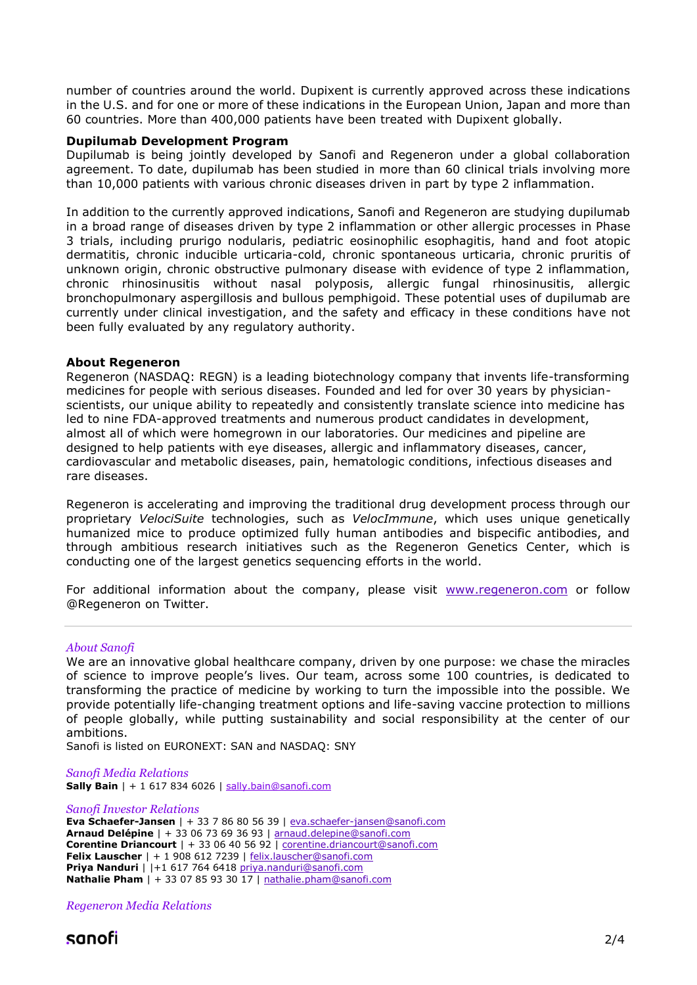number of countries around the world. Dupixent is currently approved across these indications in the U.S. and for one or more of these indications in the European Union, Japan and more than 60 countries. More than 400,000 patients have been treated with Dupixent globally.

### **Dupilumab Development Program**

Dupilumab is being jointly developed by Sanofi and Regeneron under a global collaboration agreement. To date, dupilumab has been studied in more than 60 clinical trials involving more than 10,000 patients with various chronic diseases driven in part by type 2 inflammation.

In addition to the currently approved indications, Sanofi and Regeneron are studying dupilumab in a broad range of diseases driven by type 2 inflammation or other allergic processes in Phase 3 trials, including prurigo nodularis, pediatric eosinophilic esophagitis, hand and foot atopic dermatitis, chronic inducible urticaria-cold, chronic spontaneous urticaria, chronic pruritis of unknown origin, chronic obstructive pulmonary disease with evidence of type 2 inflammation, chronic rhinosinusitis without nasal polyposis, allergic fungal rhinosinusitis, allergic bronchopulmonary aspergillosis and bullous pemphigoid. These potential uses of dupilumab are currently under clinical investigation, and the safety and efficacy in these conditions have not been fully evaluated by any regulatory authority.

## **About Regeneron**

Regeneron (NASDAQ: REGN) is a leading biotechnology company that invents life-transforming medicines for people with serious diseases. Founded and led for over 30 years by physicianscientists, our unique ability to repeatedly and consistently translate science into medicine has led to nine FDA-approved treatments and numerous product candidates in development, almost all of which were homegrown in our laboratories. Our medicines and pipeline are designed to help patients with eye diseases, allergic and inflammatory diseases, cancer, cardiovascular and metabolic diseases, pain, hematologic conditions, infectious diseases and rare diseases.

Regeneron is accelerating and improving the traditional drug development process through our proprietary *VelociSuite* technologies, such as *VelocImmune*, which uses unique genetically humanized mice to produce optimized fully human antibodies and bispecific antibodies, and through ambitious research initiatives such as the Regeneron Genetics Center, which is conducting one of the largest genetics sequencing efforts in the world.

For additional information about the company, please visit [www.regeneron.com](http://www.regeneron.com/) or follow @Regeneron on Twitter.

#### *About Sanofi*

We are an innovative global healthcare company, driven by one purpose: we chase the miracles of science to improve people's lives. Our team, across some 100 countries, is dedicated to transforming the practice of medicine by working to turn the impossible into the possible. We provide potentially life-changing treatment options and life-saving vaccine protection to millions of people globally, while putting sustainability and social responsibility at the center of our ambitions.

Sanofi is listed on EURONEXT: SAN and NASDAQ: SNY

# *Sanofi Media Relations*

**Sally Bain** | + 1 617 834 6026 | [sally.bain@sanofi.com](mailto:sally.bain@sanofi.com)

#### *Sanofi Investor Relations*

**Eva Schaefer-Jansen** | + 33 7 86 80 56 39 | [eva.schaefer-jansen@sanofi.com](mailto:eva.schaefer-jansen@sanofi.com) **Arnaud Delépine** | + 33 06 73 69 36 93 | [arnaud.delepine@sanofi.com](mailto:arnaud.delepine@sanofi.com) **Corentine Driancourt** | + 33 06 40 56 92 | [corentine.driancourt@sanofi.com](mailto:corentine.driancourt@sanofi.com) **Felix Lauscher** | + 1 908 612 7239 | [felix.lauscher@sanofi.com](mailto:felix.lauscher@sanofi.com) **Priya Nanduri** | |+1 617 764 6418 [priya.nanduri@sanofi.com](mailto:priya.nanduri@sanofi.com) **Nathalie Pham** | + 33 07 85 93 30 17 | [nathalie.pham@sanofi.com](mailto:nathalie.pham@sanofi.com)

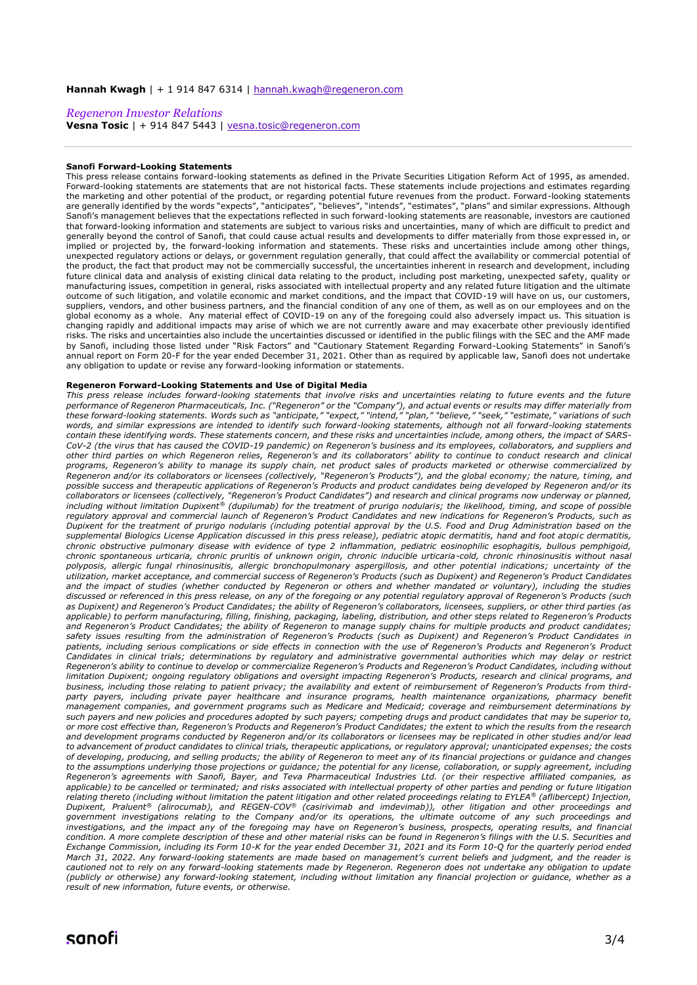#### **Hannah Kwagh** | + 1 914 847 6314 [| hannah.kwagh@regeneron.com](mailto:hannah.kwagh@regeneron.com)

#### *Regeneron Investor Relations*

**Vesna Tosic** | + 914 847 5443 | [vesna.tosic@regeneron.com](mailto:vesna.tosic@regeneron.com)

#### **Sanofi Forward-Looking Statements**

This press release contains forward-looking statements as defined in the Private Securities Litigation Reform Act of 1995, as amended. Forward-looking statements are statements that are not historical facts. These statements include projections and estimates regarding the marketing and other potential of the product, or regarding potential future revenues from the product. Forward-looking statements are generally identified by the words "expects", "anticipates", "believes", "intends", "estimates", "plans" and similar expressions. Although Sanofi's management believes that the expectations reflected in such forward-looking statements are reasonable, investors are cautioned that forward-looking information and statements are subject to various risks and uncertainties, many of which are difficult to predict and generally beyond the control of Sanofi, that could cause actual results and developments to differ materially from those expressed in, or implied or projected by, the forward-looking information and statements. These risks and uncertainties include among other things, unexpected regulatory actions or delays, or government regulation generally, that could affect the availability or commercial potential of the product, the fact that product may not be commercially successful, the uncertainties inherent in research and development, including future clinical data and analysis of existing clinical data relating to the product, including post marketing, unexpected safety, quality or manufacturing issues, competition in general, risks associated with intellectual property and any related future litigation and the ultimate outcome of such litigation, and volatile economic and market conditions, and the impact that COVID-19 will have on us, our customers, suppliers, vendors, and other business partners, and the financial condition of any one of them, as well as on our employees and on the global economy as a whole. Any material effect of COVID-19 on any of the foregoing could also adversely impact us. This situation is changing rapidly and additional impacts may arise of which we are not currently aware and may exacerbate other previously identified risks. The risks and uncertainties also include the uncertainties discussed or identified in the public filings with the SEC and the AMF made by Sanofi, including those listed under "Risk Factors" and "Cautionary Statement Regarding Forward-Looking Statements" in Sanofi's annual report on Form 20-F for the year ended December 31, 2021. Other than as required by applicable law, Sanofi does not undertake any obligation to update or revise any forward-looking information or statements.

#### **Regeneron Forward-Looking Statements and Use of Digital Media**

*This press release includes forward-looking statements that involve risks and uncertainties relating to future events and the future performance of Regeneron Pharmaceuticals, Inc. ("Regeneron" or the "Company"), and actual events or results may differ materially from these forward-looking statements. Words such as "anticipate," "expect," "intend," "plan," "believe," "seek," "estimate," variations of such words, and similar expressions are intended to identify such forward-looking statements, although not all forward-looking statements contain these identifying words. These statements concern, and these risks and uncertainties include, among others, the impact of SARS-CoV-2 (the virus that has caused the COVID-19 pandemic) on Regeneron's business and its employees, collaborators, and suppliers and other third parties on which Regeneron relies, Regeneron's and its collaborators' ability to continue to conduct research and clinical programs, Regeneron's ability to manage its supply chain, net product sales of products marketed or otherwise commercialized by Regeneron and/or its collaborators or licensees (collectively, "Regeneron's Products"), and the global economy; the nature, timing, and possible success and therapeutic applications of Regeneron's Products and product candidates being developed by Regeneron and/or its collaborators or licensees (collectively, "Regeneron's Product Candidates") and research and clinical programs now underway or planned, including without limitation Dupixent® (dupilumab) for the treatment of prurigo nodularis; the likelihood, timing, and scope of possible regulatory approval and commercial launch of Regeneron's Product Candidates and new indications for Regeneron's Products, such as Dupixent for the treatment of prurigo nodularis (including potential approval by the U.S. Food and Drug Administration based on the supplemental Biologics License Application discussed in this press release), pediatric atopic dermatitis, hand and foot atopic dermatitis, chronic obstructive pulmonary disease with evidence of type 2 inflammation, pediatric eosinophilic esophagitis, bullous pemphigoid, chronic spontaneous urticaria, chronic pruritis of unknown origin, chronic inducible urticaria-cold, chronic rhinosinusitis without nasal polyposis, allergic fungal rhinosinusitis, allergic bronchopulmonary aspergillosis, and other potential indications; uncertainty of the utilization, market acceptance, and commercial success of Regeneron's Products (such as Dupixent) and Regeneron's Product Candidates and the impact of studies (whether conducted by Regeneron or others and whether mandated or voluntary), including the studies discussed or referenced in this press release, on any of the foregoing or any potential regulatory approval of Regeneron's Products (such as Dupixent) and Regeneron's Product Candidates; the ability of Regeneron's collaborators, licensees, suppliers, or other third parties (as applicable) to perform manufacturing, filling, finishing, packaging, labeling, distribution, and other steps related to Regeneron's Products and Regeneron's Product Candidates; the ability of Regeneron to manage supply chains for multiple products and product candidates; safety issues resulting from the administration of Regeneron's Products (such as Dupixent) and Regeneron's Product Candidates in*  patients, including serious complications or side effects in connection with the use of Regeneron's Products and Regeneron's Product *Candidates in clinical trials; determinations by regulatory and administrative governmental authorities which may delay or restrict Regeneron's ability to continue to develop or commercialize Regeneron's Products and Regeneron's Product Candidates, including without*  limitation Dupixent; ongoing regulatory obligations and oversight impacting Regeneron's Products, research and clinical programs, and *business, including those relating to patient privacy; the availability and extent of reimbursement of Regeneron's Products from thirdparty payers, including private payer healthcare and insurance programs, health maintenance organizations, pharmacy benefit management companies, and government programs such as Medicare and Medicaid; coverage and reimbursement determinations by such payers and new policies and procedures adopted by such payers; competing drugs and product candidates that may be superior to, or more cost effective than, Regeneron's Products and Regeneron's Product Candidates; the extent to which the results from the research and development programs conducted by Regeneron and/or its collaborators or licensees may be replicated in other studies and/or lead to advancement of product candidates to clinical trials, therapeutic applications, or regulatory approval; unanticipated expenses; the costs of developing, producing, and selling products; the ability of Regeneron to meet any of its financial projections or guidance and changes to the assumptions underlying those projections or guidance; the potential for any license, collaboration, or supply agreement, including Regeneron's agreements with Sanofi, Bayer, and Teva Pharmaceutical Industries Ltd. (or their respective affiliated companies, as applicable) to be cancelled or terminated; and risks associated with intellectual property of other parties and pending or future litigation relating thereto (including without limitation the patent litigation and other related proceedings relating to EYLEA® (aflibercept) Injection, Dupixent, Praluent® (alirocumab), and REGEN-COV® (casirivimab and imdevimab)), other litigation and other proceedings and government investigations relating to the Company and/or its operations, the ultimate outcome of any such proceedings and investigations, and the impact any of the foregoing may have on Regeneron's business, prospects, operating results, and financial condition. A more complete description of these and other material risks can be found in Regeneron's filings with the U.S. Securities and Exchange Commission, including its Form 10-K for the year ended December 31, 2021 and its Form 10-Q for the quarterly period ended March 31, 2022. Any forward-looking statements are made based on management's current beliefs and judgment, and the reader is cautioned not to rely on any forward-looking statements made by Regeneron. Regeneron does not undertake any obligation to update (publicly or otherwise) any forward-looking statement, including without limitation any financial projection or guidance, whether as a result of new information, future events, or otherwise.*